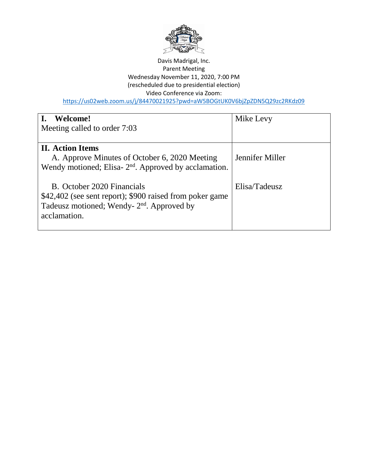

### Davis Madrigal, Inc. Parent Meeting Wednesday November 11, 2020, 7:00 PM (rescheduled due to presidential election) Video Conference via Zoom: <https://us02web.zoom.us/j/84470021925?pwd=aW5BOGtUK0V6bjZpZDN5Q29zc2RKdz09>

| Welcome!<br>Meeting called to order 7:03                                                                                                                         | Mike Levy       |
|------------------------------------------------------------------------------------------------------------------------------------------------------------------|-----------------|
| <b>II.</b> Action Items<br>A. Approve Minutes of October 6, 2020 Meeting<br>Wendy motioned; Elisa- $2nd$ . Approved by acclamation.                              | Jennifer Miller |
| B. October 2020 Financials<br>\$42,402 (see sent report); \$900 raised from poker game<br>Tadeusz motioned; Wendy- 2 <sup>nd</sup> . Approved by<br>acclamation. | Elisa/Tadeusz   |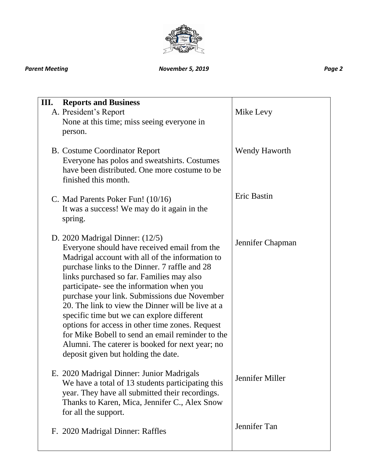

## *Parent Meeting November 5, 2019 Page 2*

| III.<br><b>Reports and Business</b><br>A. President's Report<br>None at this time; miss seeing everyone in<br>person.                                                                                                                                                                                                                                                                                                                                                                                                                                                                                                               | Mike Levy        |
|-------------------------------------------------------------------------------------------------------------------------------------------------------------------------------------------------------------------------------------------------------------------------------------------------------------------------------------------------------------------------------------------------------------------------------------------------------------------------------------------------------------------------------------------------------------------------------------------------------------------------------------|------------------|
| <b>B.</b> Costume Coordinator Report<br>Everyone has polos and sweatshirts. Costumes<br>have been distributed. One more costume to be<br>finished this month.                                                                                                                                                                                                                                                                                                                                                                                                                                                                       | Wendy Haworth    |
| C. Mad Parents Poker Fun! (10/16)<br>It was a success! We may do it again in the<br>spring.                                                                                                                                                                                                                                                                                                                                                                                                                                                                                                                                         | Eric Bastin      |
| D. 2020 Madrigal Dinner: $(12/5)$<br>Everyone should have received email from the<br>Madrigal account with all of the information to<br>purchase links to the Dinner. 7 raffle and 28<br>links purchased so far. Families may also<br>participate- see the information when you<br>purchase your link. Submissions due November<br>20. The link to view the Dinner will be live at a<br>specific time but we can explore different<br>options for access in other time zones. Request<br>for Mike Bobell to send an email reminder to the<br>Alumni. The caterer is booked for next year; no<br>deposit given but holding the date. | Jennifer Chapman |
| E. 2020 Madrigal Dinner: Junior Madrigals<br>We have a total of 13 students participating this<br>year. They have all submitted their recordings.<br>Thanks to Karen, Mica, Jennifer C., Alex Snow<br>for all the support.                                                                                                                                                                                                                                                                                                                                                                                                          | Jennifer Miller  |
| F. 2020 Madrigal Dinner: Raffles                                                                                                                                                                                                                                                                                                                                                                                                                                                                                                                                                                                                    | Jennifer Tan     |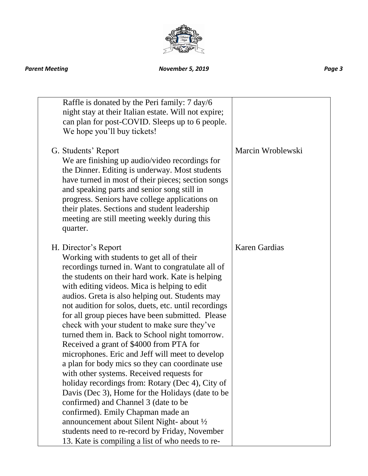

### *Parent Meeting November 5, 2019 Page 3*

| Raffle is donated by the Peri family: 7 day/6<br>night stay at their Italian estate. Will not expire;<br>can plan for post-COVID. Sleeps up to 6 people.<br>We hope you'll buy tickets!                                                                                                                                                                                                                                                                                                                                                                                                                                                                                                                                                                                                                                                                                                                                                                                                                                            |                      |
|------------------------------------------------------------------------------------------------------------------------------------------------------------------------------------------------------------------------------------------------------------------------------------------------------------------------------------------------------------------------------------------------------------------------------------------------------------------------------------------------------------------------------------------------------------------------------------------------------------------------------------------------------------------------------------------------------------------------------------------------------------------------------------------------------------------------------------------------------------------------------------------------------------------------------------------------------------------------------------------------------------------------------------|----------------------|
| G. Students' Report<br>We are finishing up audio/video recordings for<br>the Dinner. Editing is underway. Most students<br>have turned in most of their pieces; section songs<br>and speaking parts and senior song still in<br>progress. Seniors have college applications on<br>their plates. Sections and student leadership<br>meeting are still meeting weekly during this<br>quarter.                                                                                                                                                                                                                                                                                                                                                                                                                                                                                                                                                                                                                                        | Marcin Wroblewski    |
| H. Director's Report<br>Working with students to get all of their<br>recordings turned in. Want to congratulate all of<br>the students on their hard work. Kate is helping<br>with editing videos. Mica is helping to edit<br>audios. Greta is also helping out. Students may<br>not audition for solos, duets, etc. until recordings<br>for all group pieces have been submitted. Please<br>check with your student to make sure they've<br>turned them in. Back to School night tomorrow.<br>Received a grant of \$4000 from PTA for<br>microphones. Eric and Jeff will meet to develop<br>a plan for body mics so they can coordinate use<br>with other systems. Received requests for<br>holiday recordings from: Rotary (Dec 4), City of<br>Davis (Dec 3), Home for the Holidays (date to be<br>confirmed) and Channel 3 (date to be<br>confirmed). Emily Chapman made an<br>announcement about Silent Night- about 1/2<br>students need to re-record by Friday, November<br>13. Kate is compiling a list of who needs to re- | <b>Karen Gardias</b> |